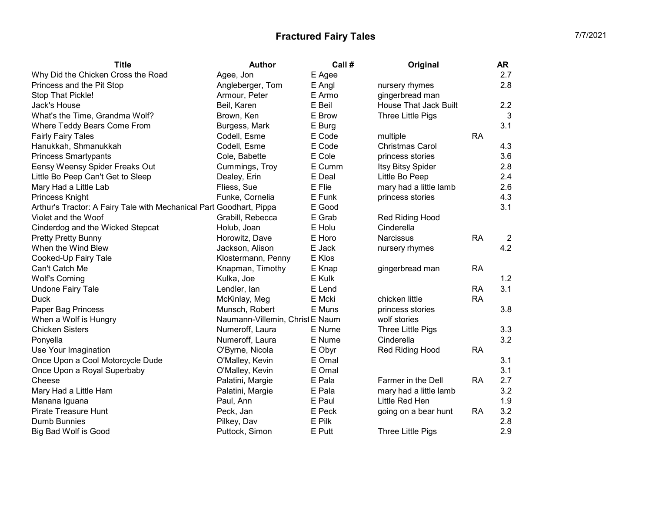| <b>Title</b>                                                        | <b>Author</b>                   | Call # | Original                     |           | AR             |
|---------------------------------------------------------------------|---------------------------------|--------|------------------------------|-----------|----------------|
| Why Did the Chicken Cross the Road                                  | Agee, Jon                       | E Agee |                              |           | 2.7            |
| Princess and the Pit Stop                                           | Angleberger, Tom                | E Angl | nursery rhymes               |           | 2.8            |
| Stop That Pickle!                                                   | Armour, Peter                   | E Armo | gingerbread man              |           |                |
| Jack's House                                                        | Beil, Karen                     | E Beil | <b>House That Jack Built</b> |           | 2.2            |
| What's the Time, Grandma Wolf?                                      | Brown, Ken                      | E Brow | Three Little Pigs            |           | 3              |
| Where Teddy Bears Come From                                         | Burgess, Mark                   | E Burg |                              |           | 3.1            |
| <b>Fairly Fairy Tales</b>                                           | Codell, Esme                    | E Code | multiple                     | <b>RA</b> |                |
| Hanukkah, Shmanukkah                                                | Codell, Esme                    | E Code | <b>Christmas Carol</b>       |           | 4.3            |
| <b>Princess Smartypants</b>                                         | Cole, Babette                   | E Cole | princess stories             |           | 3.6            |
| Eensy Weensy Spider Freaks Out                                      | Cummings, Troy                  | E Cumm | Itsy Bitsy Spider            |           | 2.8            |
| Little Bo Peep Can't Get to Sleep                                   | Dealey, Erin                    | E Deal | Little Bo Peep               |           | 2.4            |
| Mary Had a Little Lab                                               | Fliess, Sue                     | E Flie | mary had a little lamb       |           | 2.6            |
| Princess Knight                                                     | Funke, Cornelia                 | E Funk | princess stories             |           | 4.3            |
| Arthur's Tractor: A Fairy Tale with Mechanical Part Goodhart, Pippa |                                 | E Good |                              |           | 3.1            |
| Violet and the Woof                                                 | Grabill, Rebecca                | E Grab | Red Riding Hood              |           |                |
| Cinderdog and the Wicked Stepcat                                    | Holub, Joan                     | E Holu | Cinderella                   |           |                |
| <b>Pretty Pretty Bunny</b>                                          | Horowitz, Dave                  | E Horo | <b>Narcissus</b>             | <b>RA</b> | $\overline{2}$ |
| When the Wind Blew                                                  | Jackson, Alison                 | E Jack | nursery rhymes               |           | 4.2            |
| Cooked-Up Fairy Tale                                                | Klostermann, Penny              | E Klos |                              |           |                |
| Can't Catch Me                                                      | Knapman, Timothy                | E Knap | gingerbread man              | <b>RA</b> |                |
| <b>Wolf's Coming</b>                                                | Kulka, Joe                      | E Kulk |                              |           | 1.2            |
| <b>Undone Fairy Tale</b>                                            | Lendler, lan                    | E Lend |                              | RA        | 3.1            |
| <b>Duck</b>                                                         | McKinlay, Meg                   | E Mcki | chicken little               | <b>RA</b> |                |
| Paper Bag Princess                                                  | Munsch, Robert                  | E Muns | princess stories             |           | 3.8            |
| When a Wolf is Hungry                                               | Naumann-Villemin, Christ E Naum |        | wolf stories                 |           |                |
| <b>Chicken Sisters</b>                                              | Numeroff, Laura                 | E Nume | Three Little Pigs            |           | 3.3            |
| Ponyella                                                            | Numeroff, Laura                 | E Nume | Cinderella                   |           | 3.2            |
| Use Your Imagination                                                | O'Byrne, Nicola                 | E Obyr | Red Riding Hood              | <b>RA</b> |                |
| Once Upon a Cool Motorcycle Dude                                    | O'Malley, Kevin                 | E Omal |                              |           | 3.1            |
| Once Upon a Royal Superbaby                                         | O'Malley, Kevin                 | E Omal |                              |           | 3.1            |
| Cheese                                                              | Palatini, Margie                | E Pala | Farmer in the Dell           | <b>RA</b> | 2.7            |
| Mary Had a Little Ham                                               | Palatini, Margie                | E Pala | mary had a little lamb       |           | 3.2            |
| Manana Iguana                                                       | Paul, Ann                       | E Paul | Little Red Hen               |           | 1.9            |
| <b>Pirate Treasure Hunt</b>                                         | Peck, Jan                       | E Peck | going on a bear hunt         | <b>RA</b> | 3.2            |
| Dumb Bunnies                                                        | Pilkey, Dav                     | E Pilk |                              |           | 2.8            |
| <b>Big Bad Wolf is Good</b>                                         | Puttock, Simon                  | E Putt | Three Little Pigs            |           | 2.9            |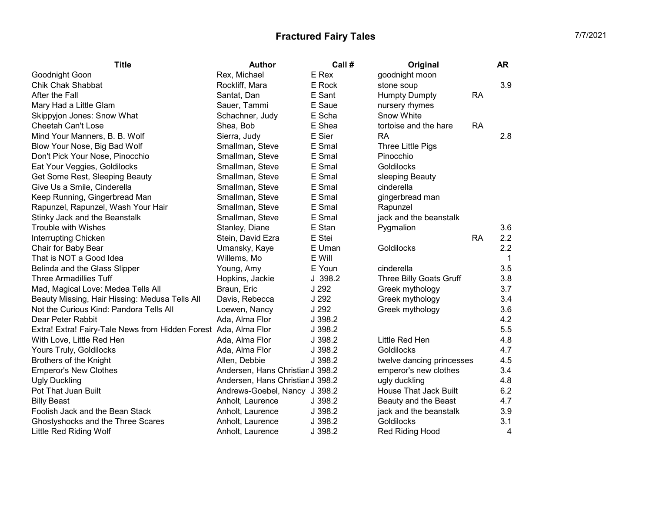| <b>Title</b>                                                    | <b>Author</b>                    | Call #  | Original                  | <b>AR</b>        |
|-----------------------------------------------------------------|----------------------------------|---------|---------------------------|------------------|
| Goodnight Goon                                                  | Rex, Michael                     | E Rex   | goodnight moon            |                  |
| Chik Chak Shabbat                                               | Rockliff, Mara                   | E Rock  | stone soup                | 3.9              |
| After the Fall                                                  | Santat, Dan                      | E Sant  | <b>Humpty Dumpty</b>      | <b>RA</b>        |
| Mary Had a Little Glam                                          | Sauer, Tammi                     | E Saue  | nursery rhymes            |                  |
| Skippyjon Jones: Snow What                                      | Schachner, Judy                  | E Scha  | Snow White                |                  |
| <b>Cheetah Can't Lose</b>                                       | Shea, Bob                        | E Shea  | tortoise and the hare     | <b>RA</b>        |
| Mind Your Manners, B. B. Wolf                                   | Sierra, Judy                     | E Sier  | <b>RA</b>                 | 2.8              |
| Blow Your Nose, Big Bad Wolf                                    | Smallman, Steve                  | E Smal  | Three Little Pigs         |                  |
| Don't Pick Your Nose, Pinocchio                                 | Smallman, Steve                  | E Smal  | Pinocchio                 |                  |
| Eat Your Veggies, Goldilocks                                    | Smallman, Steve                  | E Smal  | Goldilocks                |                  |
| Get Some Rest, Sleeping Beauty                                  | Smallman, Steve                  | E Smal  | sleeping Beauty           |                  |
| Give Us a Smile, Cinderella                                     | Smallman, Steve                  | E Smal  | cinderella                |                  |
| Keep Running, Gingerbread Man                                   | Smallman, Steve                  | E Smal  | gingerbread man           |                  |
| Rapunzel, Rapunzel, Wash Your Hair                              | Smallman, Steve                  | E Smal  | Rapunzel                  |                  |
| Stinky Jack and the Beanstalk                                   | Smallman, Steve                  | E Smal  | jack and the beanstalk    |                  |
| <b>Trouble with Wishes</b>                                      | Stanley, Diane                   | E Stan  | Pygmalion                 | 3.6              |
| Interrupting Chicken                                            | Stein, David Ezra                | E Stei  |                           | 2.2<br><b>RA</b> |
| Chair for Baby Bear                                             | Umansky, Kaye                    | E Uman  | Goldilocks                | 2.2              |
| That is NOT a Good Idea                                         | Willems, Mo                      | E Will  |                           | $\mathbf 1$      |
| Belinda and the Glass Slipper                                   | Young, Amy                       | E Youn  | cinderella                | 3.5              |
| <b>Three Armadillies Tuff</b>                                   | Hopkins, Jackie                  | J.398.2 | Three Billy Goats Gruff   | 3.8              |
| Mad, Magical Love: Medea Tells All                              | Braun, Eric                      | J 292   | Greek mythology           | 3.7              |
| Beauty Missing, Hair Hissing: Medusa Tells All                  | Davis, Rebecca                   | J 292   | Greek mythology           | 3.4              |
| Not the Curious Kind: Pandora Tells All                         | Loewen, Nancy                    | J 292   | Greek mythology           | 3.6              |
| Dear Peter Rabbit                                               | Ada, Alma Flor                   | J 398.2 |                           | 4.2              |
| Extra! Extra! Fairy-Tale News from Hidden Forest Ada, Alma Flor |                                  | J 398.2 |                           | 5.5              |
| With Love, Little Red Hen                                       | Ada, Alma Flor                   | J 398.2 | Little Red Hen            | 4.8              |
| Yours Truly, Goldilocks                                         | Ada, Alma Flor                   | J 398.2 | Goldilocks                | 4.7              |
| <b>Brothers of the Knight</b>                                   | Allen, Debbie                    | J 398.2 | twelve dancing princesses | 4.5              |
| <b>Emperor's New Clothes</b>                                    | Andersen, Hans Christian J 398.2 |         | emperor's new clothes     | 3.4              |
| <b>Ugly Duckling</b>                                            | Andersen, Hans Christian J 398.2 |         | ugly duckling             | 4.8              |
| Pot That Juan Built                                             | Andrews-Goebel, Nancy J 398.2    |         | House That Jack Built     | 6.2              |
| <b>Billy Beast</b>                                              | Anholt, Laurence                 | J 398.2 | Beauty and the Beast      | 4.7              |
| Foolish Jack and the Bean Stack                                 | Anholt, Laurence                 | J 398.2 | jack and the beanstalk    | 3.9              |
| Ghostyshocks and the Three Scares                               | Anholt, Laurence                 | J 398.2 | Goldilocks                | 3.1              |
| Little Red Riding Wolf                                          | Anholt, Laurence                 | J 398.2 | Red Riding Hood           | 4                |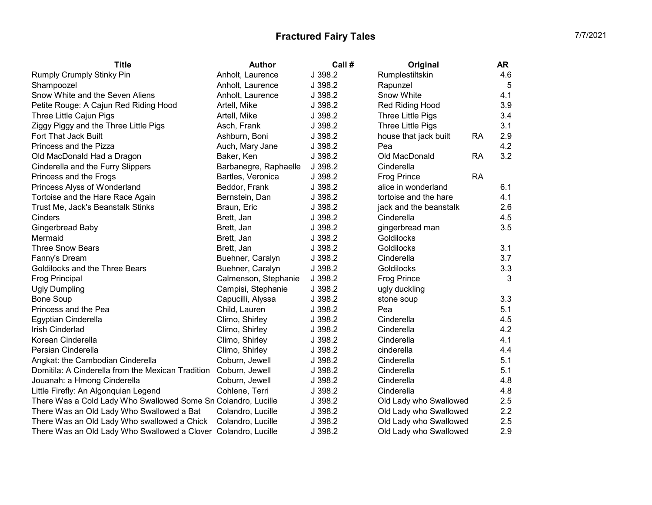| <b>Title</b>                                                   | <b>Author</b>         | Call #  | Original                           | AR  |
|----------------------------------------------------------------|-----------------------|---------|------------------------------------|-----|
| Rumply Crumply Stinky Pin                                      | Anholt, Laurence      | J 398.2 | Rumplestiltskin                    | 4.6 |
| Shampoozel                                                     | Anholt, Laurence      | J 398.2 | Rapunzel                           | 5   |
| Snow White and the Seven Aliens                                | Anholt, Laurence      | J 398.2 | Snow White                         | 4.1 |
| Petite Rouge: A Cajun Red Riding Hood                          | Artell, Mike          | J 398.2 | Red Riding Hood                    | 3.9 |
| Three Little Cajun Pigs                                        | Artell, Mike          | J 398.2 | Three Little Pigs                  | 3.4 |
| Ziggy Piggy and the Three Little Pigs                          | Asch, Frank           | J 398.2 | Three Little Pigs                  | 3.1 |
| Fort That Jack Built                                           | Ashburn, Boni         | J 398.2 | <b>RA</b><br>house that jack built | 2.9 |
| Princess and the Pizza                                         | Auch, Mary Jane       | J 398.2 | Pea                                | 4.2 |
| Old MacDonald Had a Dragon                                     | Baker, Ken            | J 398.2 | Old MacDonald<br>RA                | 3.2 |
| Cinderella and the Furry Slippers                              | Barbanegre, Raphaelle | J 398.2 | Cinderella                         |     |
| Princess and the Frogs                                         | Bartles, Veronica     | J 398.2 | <b>Frog Prince</b><br><b>RA</b>    |     |
| Princess Alyss of Wonderland                                   | Beddor, Frank         | J 398.2 | alice in wonderland                | 6.1 |
| Tortoise and the Hare Race Again                               | Bernstein, Dan        | J 398.2 | tortoise and the hare              | 4.1 |
| Trust Me, Jack's Beanstalk Stinks                              | Braun, Eric           | J 398.2 | jack and the beanstalk             | 2.6 |
| Cinders                                                        | Brett, Jan            | J 398.2 | Cinderella                         | 4.5 |
| Gingerbread Baby                                               | Brett, Jan            | J 398.2 | gingerbread man                    | 3.5 |
| Mermaid                                                        | Brett, Jan            | J 398.2 | Goldilocks                         |     |
| <b>Three Snow Bears</b>                                        | Brett, Jan            | J 398.2 | Goldilocks                         | 3.1 |
| Fanny's Dream                                                  | Buehner, Caralyn      | J 398.2 | Cinderella                         | 3.7 |
| Goldilocks and the Three Bears                                 | Buehner, Caralyn      | J 398.2 | Goldilocks                         | 3.3 |
| <b>Frog Principal</b>                                          | Calmenson, Stephanie  | J 398.2 | <b>Frog Prince</b>                 | 3   |
| <b>Ugly Dumpling</b>                                           | Campisi, Stephanie    | J 398.2 | ugly duckling                      |     |
| <b>Bone Soup</b>                                               | Capucilli, Alyssa     | J 398.2 | stone soup                         | 3.3 |
| Princess and the Pea                                           | Child, Lauren         | J 398.2 | Pea                                | 5.1 |
| Egyptian Cinderella                                            | Climo, Shirley        | J 398.2 | Cinderella                         | 4.5 |
| Irish Cinderlad                                                | Climo, Shirley        | J 398.2 | Cinderella                         | 4.2 |
| Korean Cinderella                                              | Climo, Shirley        | J 398.2 | Cinderella                         | 4.1 |
| Persian Cinderella                                             | Climo, Shirley        | J 398.2 | cinderella                         | 4.4 |
| Angkat: the Cambodian Cinderella                               | Coburn, Jewell        | J 398.2 | Cinderella                         | 5.1 |
| Domitila: A Cinderella from the Mexican Tradition              | Coburn, Jewell        | J 398.2 | Cinderella                         | 5.1 |
| Jouanah: a Hmong Cinderella                                    | Coburn, Jewell        | J 398.2 | Cinderella                         | 4.8 |
| Little Firefly: An Algonquian Legend                           | Cohlene, Terri        | J 398.2 | Cinderella                         | 4.8 |
| There Was a Cold Lady Who Swallowed Some Sn Colandro, Lucille  |                       | J 398.2 | Old Lady who Swallowed             | 2.5 |
| There Was an Old Lady Who Swallowed a Bat                      | Colandro, Lucille     | J 398.2 | Old Lady who Swallowed             | 2.2 |
| There Was an Old Lady Who swallowed a Chick                    | Colandro, Lucille     | J 398.2 | Old Lady who Swallowed             | 2.5 |
| There Was an Old Lady Who Swallowed a Clover Colandro, Lucille |                       | J 398.2 | Old Lady who Swallowed             | 2.9 |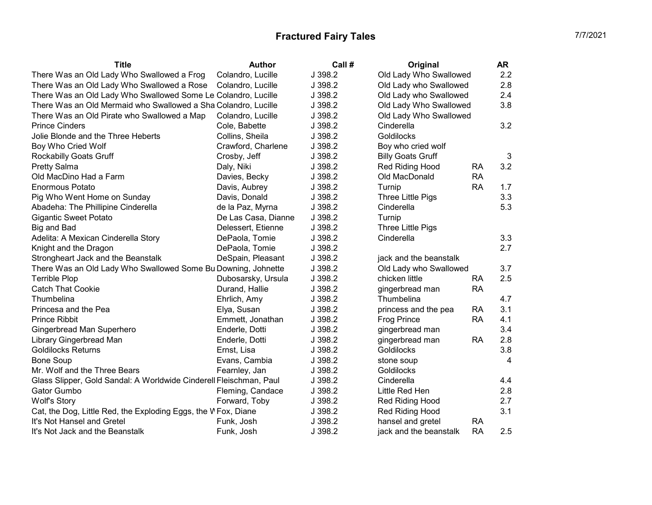| <b>Title</b>                                                       | <b>Author</b>       | Call #  | Original                 |           | AR  |
|--------------------------------------------------------------------|---------------------|---------|--------------------------|-----------|-----|
| There Was an Old Lady Who Swallowed a Frog                         | Colandro, Lucille   | J 398.2 | Old Lady Who Swallowed   |           | 2.2 |
| There Was an Old Lady Who Swallowed a Rose                         | Colandro, Lucille   | J 398.2 | Old Lady who Swallowed   |           | 2.8 |
| There Was an Old Lady Who Swallowed Some Le Colandro, Lucille      |                     | J 398.2 | Old Lady who Swallowed   |           | 2.4 |
| There Was an Old Mermaid who Swallowed a Sha Colandro, Lucille     |                     | J 398.2 | Old Lady Who Swallowed   |           | 3.8 |
| There Was an Old Pirate who Swallowed a Map                        | Colandro, Lucille   | J 398.2 | Old Lady Who Swallowed   |           |     |
| <b>Prince Cinders</b>                                              | Cole, Babette       | J 398.2 | Cinderella               |           | 3.2 |
| Jolie Blonde and the Three Heberts                                 | Collins, Sheila     | J 398.2 | Goldilocks               |           |     |
| Boy Who Cried Wolf                                                 | Crawford, Charlene  | J 398.2 | Boy who cried wolf       |           |     |
| <b>Rockabilly Goats Gruff</b>                                      | Crosby, Jeff        | J 398.2 | <b>Billy Goats Gruff</b> |           | 3   |
| <b>Pretty Salma</b>                                                | Daly, Niki          | J 398.2 | Red Riding Hood          | <b>RA</b> | 3.2 |
| Old MacDino Had a Farm                                             | Davies, Becky       | J 398.2 | Old MacDonald            | <b>RA</b> |     |
| <b>Enormous Potato</b>                                             | Davis, Aubrey       | J 398.2 | Turnip                   | <b>RA</b> | 1.7 |
| Pig Who Went Home on Sunday                                        | Davis, Donald       | J 398.2 | Three Little Pigs        |           | 3.3 |
| Abadeha: The Phillipine Cinderella                                 | de la Paz, Myrna    | J 398.2 | Cinderella               |           | 5.3 |
| <b>Gigantic Sweet Potato</b>                                       | De Las Casa, Dianne | J 398.2 | Turnip                   |           |     |
| Big and Bad                                                        | Delessert, Etienne  | J 398.2 | Three Little Pigs        |           |     |
| Adelita: A Mexican Cinderella Story                                | DePaola, Tomie      | J 398.2 | Cinderella               |           | 3.3 |
| Knight and the Dragon                                              | DePaola, Tomie      | J 398.2 |                          |           | 2.7 |
| Strongheart Jack and the Beanstalk                                 | DeSpain, Pleasant   | J 398.2 | jack and the beanstalk   |           |     |
| There Was an Old Lady Who Swallowed Some Bu Downing, Johnette      |                     | J 398.2 | Old Lady who Swallowed   |           | 3.7 |
| <b>Terrible Plop</b>                                               | Dubosarsky, Ursula  | J 398.2 | chicken little           | <b>RA</b> | 2.5 |
| <b>Catch That Cookie</b>                                           | Durand, Hallie      | J 398.2 | gingerbread man          | <b>RA</b> |     |
| Thumbelina                                                         | Ehrlich, Amy        | J 398.2 | Thumbelina               |           | 4.7 |
| Princesa and the Pea                                               | Elya, Susan         | J 398.2 | princess and the pea     | <b>RA</b> | 3.1 |
| <b>Prince Ribbit</b>                                               | Emmett, Jonathan    | J 398.2 | <b>Frog Prince</b>       | <b>RA</b> | 4.1 |
| Gingerbread Man Superhero                                          | Enderle, Dotti      | J 398.2 | gingerbread man          |           | 3.4 |
| Library Gingerbread Man                                            | Enderle, Dotti      | J 398.2 | gingerbread man          | <b>RA</b> | 2.8 |
| <b>Goldilocks Returns</b>                                          | Ernst, Lisa         | J 398.2 | Goldilocks               |           | 3.8 |
| <b>Bone Soup</b>                                                   | Evans, Cambia       | J 398.2 | stone soup               |           | 4   |
| Mr. Wolf and the Three Bears                                       | Fearnley, Jan       | J 398.2 | Goldilocks               |           |     |
| Glass Slipper, Gold Sandal: A Worldwide Cinderell Fleischman, Paul |                     | J 398.2 | Cinderella               |           | 4.4 |
| Gator Gumbo                                                        | Fleming, Candace    | J 398.2 | Little Red Hen           |           | 2.8 |
| <b>Wolf's Story</b>                                                | Forward, Toby       | J 398.2 | Red Riding Hood          |           | 2.7 |
| Cat, the Dog, Little Red, the Exploding Eggs, the WFox, Diane      |                     | J 398.2 | Red Riding Hood          |           | 3.1 |
| It's Not Hansel and Gretel                                         | Funk, Josh          | J 398.2 | hansel and gretel        | <b>RA</b> |     |
| It's Not Jack and the Beanstalk                                    | Funk, Josh          | J 398.2 | jack and the beanstalk   | <b>RA</b> | 2.5 |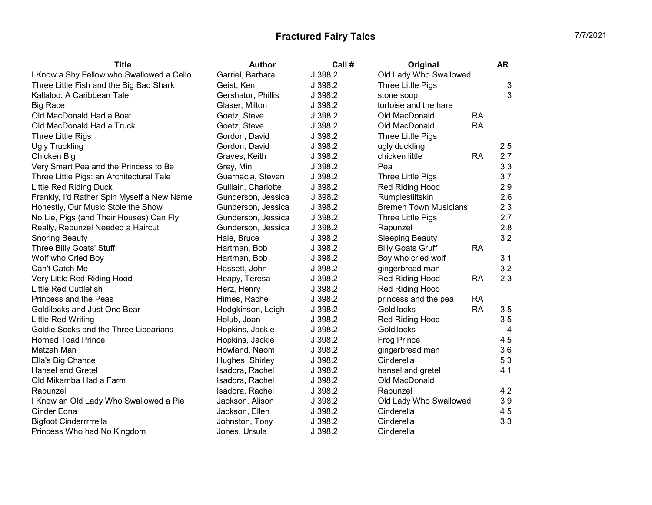| <b>Title</b>                               | <b>Author</b>       | Call #  | Original                              | <b>AR</b>      |
|--------------------------------------------|---------------------|---------|---------------------------------------|----------------|
| I Know a Shy Fellow who Swallowed a Cello  | Garriel, Barbara    | J 398.2 | Old Lady Who Swallowed                |                |
| Three Little Fish and the Big Bad Shark    | Geist, Ken          | J 398.2 | Three Little Pigs                     | 3              |
| Kallaloo: A Caribbean Tale                 | Gershator, Phillis  | J 398.2 | stone soup                            | 3              |
| <b>Big Race</b>                            | Glaser, Milton      | J 398.2 | tortoise and the hare                 |                |
| Old MacDonald Had a Boat                   | Goetz, Steve        | J 398.2 | Old MacDonald<br><b>RA</b>            |                |
| Old MacDonald Had a Truck                  | Goetz, Steve        | J 398.2 | Old MacDonald<br><b>RA</b>            |                |
| Three Little Rigs                          | Gordon, David       | J 398.2 | Three Little Pigs                     |                |
| <b>Ugly Truckling</b>                      | Gordon, David       | J 398.2 | ugly duckling                         | 2.5            |
| Chicken Big                                | Graves, Keith       | J 398.2 | chicken little<br><b>RA</b>           | 2.7            |
| Very Smart Pea and the Princess to Be      | Grey, Mini          | J 398.2 | Pea                                   | 3.3            |
| Three Little Pigs: an Architectural Tale   | Guarnacia, Steven   | J 398.2 | Three Little Pigs                     | 3.7            |
| <b>Little Red Riding Duck</b>              | Guillain, Charlotte | J 398.2 | Red Riding Hood                       | 2.9            |
| Frankly, I'd Rather Spin Myself a New Name | Gunderson, Jessica  | J 398.2 | Rumplestiltskin                       | 2.6            |
| Honestly, Our Music Stole the Show         | Gunderson, Jessica  | J 398.2 | <b>Bremen Town Musicians</b>          | 2.3            |
| No Lie, Pigs (and Their Houses) Can Fly    | Gunderson, Jessica  | J 398.2 | Three Little Pigs                     | 2.7            |
| Really, Rapunzel Needed a Haircut          | Gunderson, Jessica  | J 398.2 | Rapunzel                              | 2.8            |
| <b>Snoring Beauty</b>                      | Hale, Bruce         | J 398.2 | <b>Sleeping Beauty</b>                | 3.2            |
| Three Billy Goats' Stuff                   | Hartman, Bob        | J 398.2 | <b>Billy Goats Gruff</b><br><b>RA</b> |                |
| Wolf who Cried Boy                         | Hartman, Bob        | J 398.2 | Boy who cried wolf                    | 3.1            |
| Can't Catch Me                             | Hassett, John       | J 398.2 | gingerbread man                       | 3.2            |
| Very Little Red Riding Hood                | Heapy, Teresa       | J 398.2 | Red Riding Hood<br><b>RA</b>          | 2.3            |
| <b>Little Red Cuttlefish</b>               | Herz, Henry         | J 398.2 | Red Riding Hood                       |                |
| Princess and the Peas                      | Himes, Rachel       | J 398.2 | princess and the pea<br><b>RA</b>     |                |
| Goldilocks and Just One Bear               | Hodgkinson, Leigh   | J 398.2 | <b>RA</b><br>Goldilocks               | 3.5            |
| Little Red Writing                         | Holub, Joan         | J 398.2 | Red Riding Hood                       | 3.5            |
| Goldie Socks and the Three Libearians      | Hopkins, Jackie     | J 398.2 | Goldilocks                            | $\overline{4}$ |
| <b>Horned Toad Prince</b>                  | Hopkins, Jackie     | J 398.2 | <b>Frog Prince</b>                    | 4.5            |
| Matzah Man                                 | Howland, Naomi      | J 398.2 | gingerbread man                       | 3.6            |
| Ella's Big Chance                          | Hughes, Shirley     | J 398.2 | Cinderella                            | 5.3            |
| <b>Hansel and Gretel</b>                   | Isadora, Rachel     | J 398.2 | hansel and gretel                     | 4.1            |
| Old Mikamba Had a Farm                     | Isadora, Rachel     | J 398.2 | Old MacDonald                         |                |
| Rapunzel                                   | Isadora, Rachel     | J 398.2 | Rapunzel                              | 4.2            |
| I Know an Old Lady Who Swallowed a Pie     | Jackson, Alison     | J 398.2 | Old Lady Who Swallowed                | 3.9            |
| Cinder Edna                                | Jackson, Ellen      | J 398.2 | Cinderella                            | 4.5            |
| <b>Bigfoot Cinderrrrrella</b>              | Johnston, Tony      | J 398.2 | Cinderella                            | 3.3            |
| Princess Who had No Kingdom                | Jones, Ursula       | J 398.2 | Cinderella                            |                |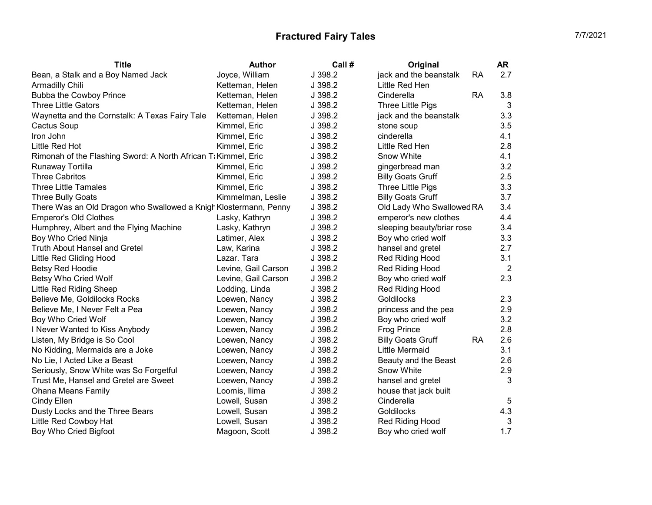| <b>Title</b>                                                     | <b>Author</b>       | Call #  | Original                              | AR             |
|------------------------------------------------------------------|---------------------|---------|---------------------------------------|----------------|
| Bean, a Stalk and a Boy Named Jack                               | Joyce, William      | J 398.2 | jack and the beanstalk<br><b>RA</b>   | 2.7            |
| Armadilly Chili                                                  | Ketteman, Helen     | J 398.2 | Little Red Hen                        |                |
| <b>Bubba the Cowboy Prince</b>                                   | Ketteman, Helen     | J 398.2 | Cinderella<br><b>RA</b>               | 3.8            |
| <b>Three Little Gators</b>                                       | Ketteman, Helen     | J 398.2 | Three Little Pigs                     | 3              |
| Waynetta and the Cornstalk: A Texas Fairy Tale                   | Ketteman, Helen     | J 398.2 | jack and the beanstalk                | 3.3            |
| Cactus Soup                                                      | Kimmel, Eric        | J 398.2 | stone soup                            | 3.5            |
| Iron John                                                        | Kimmel, Eric        | J 398.2 | cinderella                            | 4.1            |
| Little Red Hot                                                   | Kimmel, Eric        | J 398.2 | Little Red Hen                        | 2.8            |
| Rimonah of the Flashing Sword: A North African Ti Kimmel, Eric   |                     | J 398.2 | Snow White                            | 4.1            |
| Runaway Tortilla                                                 | Kimmel, Eric        | J 398.2 | gingerbread man                       | 3.2            |
| <b>Three Cabritos</b>                                            | Kimmel, Eric        | J 398.2 | <b>Billy Goats Gruff</b>              | 2.5            |
| <b>Three Little Tamales</b>                                      | Kimmel, Eric        | J 398.2 | Three Little Pigs                     | 3.3            |
| <b>Three Bully Goats</b>                                         | Kimmelman, Leslie   | J 398.2 | <b>Billy Goats Gruff</b>              | 3.7            |
| There Was an Old Dragon who Swallowed a Knigh Klostermann, Penny |                     | J 398.2 | Old Lady Who Swallowed RA             | 3.4            |
| <b>Emperor's Old Clothes</b>                                     | Lasky, Kathryn      | J 398.2 | emperor's new clothes                 | 4.4            |
| Humphrey, Albert and the Flying Machine                          | Lasky, Kathryn      | J 398.2 | sleeping beauty/briar rose            | 3.4            |
| Boy Who Cried Ninja                                              | Latimer, Alex       | J 398.2 | Boy who cried wolf                    | 3.3            |
| <b>Truth About Hansel and Gretel</b>                             | Law, Karina         | J 398.2 | hansel and gretel                     | 2.7            |
| Little Red Gliding Hood                                          | Lazar. Tara         | J 398.2 | Red Riding Hood                       | 3.1            |
| <b>Betsy Red Hoodie</b>                                          | Levine, Gail Carson | J 398.2 | <b>Red Riding Hood</b>                | $\overline{2}$ |
| Betsy Who Cried Wolf                                             | Levine, Gail Carson | J 398.2 | Boy who cried wolf                    | 2.3            |
| Little Red Riding Sheep                                          | Lodding, Linda      | J 398.2 | Red Riding Hood                       |                |
| Believe Me, Goldilocks Rocks                                     | Loewen, Nancy       | J 398.2 | Goldilocks                            | 2.3            |
| Believe Me, I Never Felt a Pea                                   | Loewen, Nancy       | J 398.2 | princess and the pea                  | 2.9            |
| Boy Who Cried Wolf                                               | Loewen, Nancy       | J 398.2 | Boy who cried wolf                    | 3.2            |
| I Never Wanted to Kiss Anybody                                   | Loewen, Nancy       | J 398.2 | <b>Frog Prince</b>                    | 2.8            |
| Listen, My Bridge is So Cool                                     | Loewen, Nancy       | J 398.2 | <b>RA</b><br><b>Billy Goats Gruff</b> | 2.6            |
| No Kidding, Mermaids are a Joke                                  | Loewen, Nancy       | J 398.2 | Little Mermaid                        | 3.1            |
| No Lie, I Acted Like a Beast                                     | Loewen, Nancy       | J 398.2 | Beauty and the Beast                  | 2.6            |
| Seriously, Snow White was So Forgetful                           | Loewen, Nancy       | J 398.2 | Snow White                            | 2.9            |
| Trust Me, Hansel and Gretel are Sweet                            | Loewen, Nancy       | J 398.2 | hansel and gretel                     | 3              |
| <b>Ohana Means Family</b>                                        | Loomis, Ilima       | J 398.2 | house that jack built                 |                |
| Cindy Ellen                                                      | Lowell, Susan       | J 398.2 | Cinderella                            | 5              |
| Dusty Locks and the Three Bears                                  | Lowell, Susan       | J 398.2 | Goldilocks                            | 4.3            |
| Little Red Cowboy Hat                                            | Lowell, Susan       | J 398.2 | Red Riding Hood                       | 3              |
| Boy Who Cried Bigfoot                                            | Magoon, Scott       | J 398.2 | Boy who cried wolf                    | 1.7            |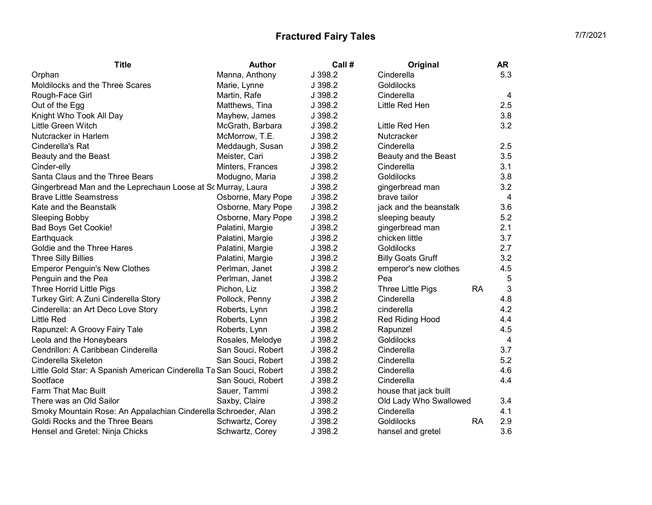| <b>Title</b>                                                         | Author             | Call #  | Original                 |           | AR             |
|----------------------------------------------------------------------|--------------------|---------|--------------------------|-----------|----------------|
| Orphan                                                               | Manna, Anthony     | J 398.2 | Cinderella               |           | 5.3            |
| Moldilocks and the Three Scares                                      | Marie, Lynne       | J 398.2 | Goldilocks               |           |                |
| Rough-Face Girl                                                      | Martin, Rafe       | J 398.2 | Cinderella               |           | 4              |
| Out of the Egg                                                       | Matthews, Tina     | J 398.2 | Little Red Hen           |           | 2.5            |
| Knight Who Took All Day                                              | Mayhew, James      | J 398.2 |                          |           | 3.8            |
| Little Green Witch                                                   | McGrath, Barbara   | J 398.2 | Little Red Hen           |           | 3.2            |
| Nutcracker in Harlem                                                 | McMorrow, T.E.     | J 398.2 | Nutcracker               |           |                |
| Cinderella's Rat                                                     | Meddaugh, Susan    | J 398.2 | Cinderella               |           | 2.5            |
| Beauty and the Beast                                                 | Meister, Cari      | J 398.2 | Beauty and the Beast     |           | 3.5            |
| Cinder-elly                                                          | Minters, Frances   | J 398.2 | Cinderella               |           | 3.1            |
| Santa Claus and the Three Bears                                      | Modugno, Maria     | J 398.2 | Goldilocks               |           | 3.8            |
| Gingerbread Man and the Leprechaun Loose at Sc Murray, Laura         |                    | J 398.2 | gingerbread man          |           | 3.2            |
| <b>Brave Little Seamstress</b>                                       | Osborne, Mary Pope | J 398.2 | brave tailor             |           | 4              |
| Kate and the Beanstalk                                               | Osborne, Mary Pope | J 398.2 | jack and the beanstalk   |           | 3.6            |
| <b>Sleeping Bobby</b>                                                | Osborne, Mary Pope | J 398.2 | sleeping beauty          |           | 5.2            |
| <b>Bad Boys Get Cookie!</b>                                          | Palatini, Margie   | J 398.2 | gingerbread man          |           | 2.1            |
| Earthquack                                                           | Palatini, Margie   | J 398.2 | chicken little           |           | 3.7            |
| Goldie and the Three Hares                                           | Palatini, Margie   | J 398.2 | Goldilocks               |           | 2.7            |
| <b>Three Silly Billies</b>                                           | Palatini, Margie   | J 398.2 | <b>Billy Goats Gruff</b> |           | 3.2            |
| <b>Emperor Penguin's New Clothes</b>                                 | Perlman, Janet     | J 398.2 | emperor's new clothes    |           | 4.5            |
| Penguin and the Pea                                                  | Perlman, Janet     | J 398.2 | Pea                      |           | 5              |
| Three Horrid Little Pigs                                             | Pichon, Liz        | J 398.2 | Three Little Pigs        | <b>RA</b> | 3              |
| Turkey Girl: A Zuni Cinderella Story                                 | Pollock, Penny     | J 398.2 | Cinderella               |           | 4.8            |
| Cinderella: an Art Deco Love Story                                   | Roberts, Lynn      | J 398.2 | cinderella               |           | 4.2            |
| Little Red                                                           | Roberts, Lynn      | J 398.2 | Red Riding Hood          |           | 4.4            |
| Rapunzel: A Groovy Fairy Tale                                        | Roberts, Lynn      | J 398.2 | Rapunzel                 |           | 4.5            |
| Leola and the Honeybears                                             | Rosales, Melodye   | J 398.2 | Goldilocks               |           | $\overline{4}$ |
| Cendrillon: A Caribbean Cinderella                                   | San Souci, Robert  | J 398.2 | Cinderella               |           | 3.7            |
| Cinderella Skeleton                                                  | San Souci, Robert  | J 398.2 | Cinderella               |           | 5.2            |
| Little Gold Star: A Spanish American Cinderella Ta San Souci, Robert |                    | J 398.2 | Cinderella               |           | 4.6            |
| Sootface                                                             | San Souci, Robert  | J 398.2 | Cinderella               |           | 4.4            |
| Farm That Mac Built                                                  | Sauer, Tammi       | J 398.2 | house that jack built    |           |                |
| There was an Old Sailor                                              | Saxby, Claire      | J 398.2 | Old Lady Who Swallowed   |           | 3.4            |
| Smoky Mountain Rose: An Appalachian Cinderella Schroeder, Alan       |                    | J 398.2 | Cinderella               |           | 4.1            |
| Goldi Rocks and the Three Bears                                      | Schwartz, Corey    | J 398.2 | Goldilocks               | <b>RA</b> | 2.9            |
| Hensel and Gretel: Ninja Chicks                                      | Schwartz, Corey    | J 398.2 | hansel and gretel        |           | 3.6            |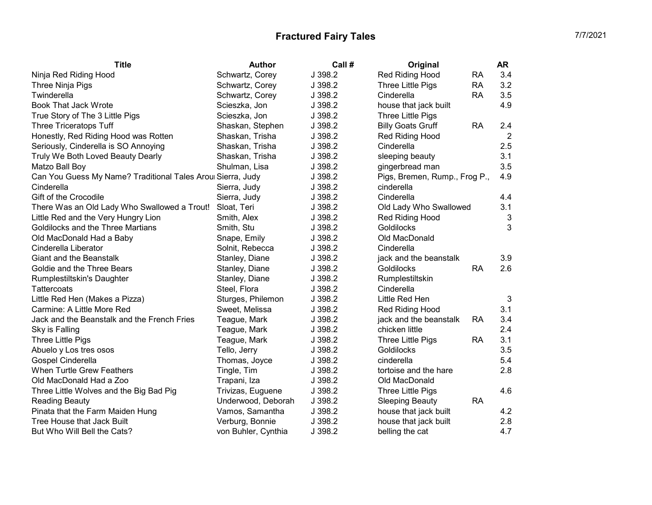| <b>Title</b>                                                | <b>Author</b>       | Call #  | Original                              | <b>AR</b>      |
|-------------------------------------------------------------|---------------------|---------|---------------------------------------|----------------|
| Ninja Red Riding Hood                                       | Schwartz, Corey     | J 398.2 | Red Riding Hood<br><b>RA</b>          | 3.4            |
| Three Ninja Pigs                                            | Schwartz, Corey     | J 398.2 | <b>RA</b><br>Three Little Pigs        | 3.2            |
| Twinderella                                                 | Schwartz, Corey     | J 398.2 | <b>RA</b><br>Cinderella               | 3.5            |
| <b>Book That Jack Wrote</b>                                 | Scieszka, Jon       | J 398.2 | house that jack built                 | 4.9            |
| True Story of The 3 Little Pigs                             | Scieszka, Jon       | J 398.2 | Three Little Pigs                     |                |
| Three Triceratops Tuff                                      | Shaskan, Stephen    | J 398.2 | <b>Billy Goats Gruff</b><br><b>RA</b> | 2.4            |
| Honestly, Red Riding Hood was Rotten                        | Shaskan, Trisha     | J 398.2 | Red Riding Hood                       | $\overline{2}$ |
| Seriously, Cinderella is SO Annoying                        | Shaskan, Trisha     | J 398.2 | Cinderella                            | 2.5            |
| Truly We Both Loved Beauty Dearly                           | Shaskan, Trisha     | J 398.2 | sleeping beauty                       | 3.1            |
| Matzo Ball Boy                                              | Shulman, Lisa       | J 398.2 | gingerbread man                       | 3.5            |
| Can You Guess My Name? Traditional Tales Aroul Sierra, Judy |                     | J 398.2 | Pigs, Bremen, Rump., Frog P.,         | 4.9            |
| Cinderella                                                  | Sierra, Judy        | J 398.2 | cinderella                            |                |
| Gift of the Crocodile                                       | Sierra, Judy        | J 398.2 | Cinderella                            | 4.4            |
| There Was an Old Lady Who Swallowed a Trout!                | Sloat, Teri         | J 398.2 | Old Lady Who Swallowed                | 3.1            |
| Little Red and the Very Hungry Lion                         | Smith, Alex         | J 398.2 | Red Riding Hood                       | 3              |
| Goldilocks and the Three Martians                           | Smith, Stu          | J 398.2 | Goldilocks                            | 3              |
| Old MacDonald Had a Baby                                    | Snape, Emily        | J 398.2 | Old MacDonald                         |                |
| Cinderella Liberator                                        | Solnit, Rebecca     | J 398.2 | Cinderella                            |                |
| <b>Giant and the Beanstalk</b>                              | Stanley, Diane      | J 398.2 | jack and the beanstalk                | 3.9            |
| Goldie and the Three Bears                                  | Stanley, Diane      | J 398.2 | <b>RA</b><br>Goldilocks               | 2.6            |
| Rumplestiltskin's Daughter                                  | Stanley, Diane      | J 398.2 | Rumplestiltskin                       |                |
| Tattercoats                                                 | Steel, Flora        | J 398.2 | Cinderella                            |                |
| Little Red Hen (Makes a Pizza)                              | Sturges, Philemon   | J 398.2 | Little Red Hen                        | 3              |
| Carmine: A Little More Red                                  | Sweet, Melissa      | J 398.2 | Red Riding Hood                       | 3.1            |
| Jack and the Beanstalk and the French Fries                 | Teague, Mark        | J 398.2 | jack and the beanstalk<br><b>RA</b>   | 3.4            |
| Sky is Falling                                              | Teague, Mark        | J 398.2 | chicken little                        | 2.4            |
| Three Little Pigs                                           | Teague, Mark        | J 398.2 | Three Little Pigs<br>RA               | 3.1            |
| Abuelo y Los tres osos                                      | Tello, Jerry        | J 398.2 | Goldilocks                            | 3.5            |
| Gospel Cinderella                                           | Thomas, Joyce       | J 398.2 | cinderella                            | 5.4            |
| <b>When Turtle Grew Feathers</b>                            | Tingle, Tim         | J 398.2 | tortoise and the hare                 | 2.8            |
| Old MacDonald Had a Zoo                                     | Trapani, Iza        | J 398.2 | Old MacDonald                         |                |
| Three Little Wolves and the Big Bad Pig                     | Trivizas, Euguene   | J 398.2 | Three Little Pigs                     | 4.6            |
| <b>Reading Beauty</b>                                       | Underwood, Deborah  | J 398.2 | <b>Sleeping Beauty</b><br><b>RA</b>   |                |
| Pinata that the Farm Maiden Hung                            | Vamos, Samantha     | J 398.2 | house that jack built                 | 4.2            |
| Tree House that Jack Built                                  | Verburg, Bonnie     | J 398.2 | house that jack built                 | 2.8            |
| But Who Will Bell the Cats?                                 | von Buhler, Cynthia | J 398.2 | belling the cat                       | 4.7            |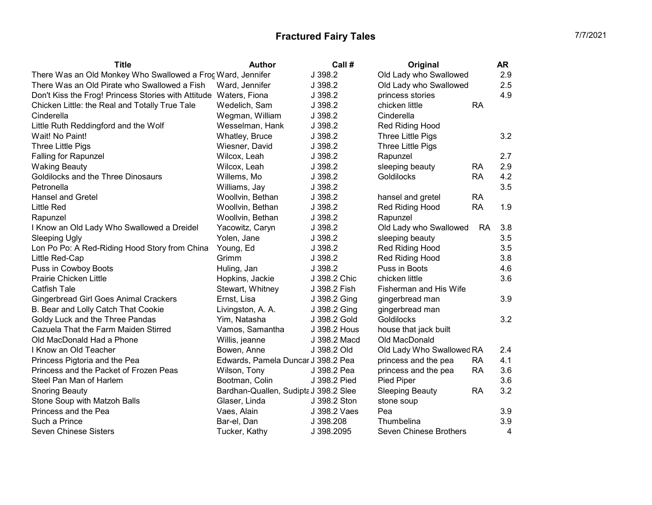| <b>Title</b>                                                      | <b>Author</b>                         | Call #       | Original                      |           | <b>AR</b> |
|-------------------------------------------------------------------|---------------------------------------|--------------|-------------------------------|-----------|-----------|
| There Was an Old Monkey Who Swallowed a Froc Ward, Jennifer       |                                       | J 398.2      | Old Lady who Swallowed        |           | 2.9       |
| There Was an Old Pirate who Swallowed a Fish                      | Ward, Jennifer                        | J 398.2      | Old Lady who Swallowed        |           | 2.5       |
| Don't Kiss the Frog! Princess Stories with Attitude Waters, Fiona |                                       | J 398.2      | princess stories              |           | 4.9       |
| Chicken Little: the Real and Totally True Tale                    | Wedelich, Sam                         | J 398.2      | chicken little                | <b>RA</b> |           |
| Cinderella                                                        | Wegman, William                       | J 398.2      | Cinderella                    |           |           |
| Little Ruth Reddingford and the Wolf                              | Wesselman, Hank                       | J 398.2      | Red Riding Hood               |           |           |
| Wait! No Paint!                                                   | Whatley, Bruce                        | J 398.2      | Three Little Pigs             |           | 3.2       |
| <b>Three Little Pigs</b>                                          | Wiesner, David                        | J 398.2      | <b>Three Little Pigs</b>      |           |           |
| <b>Falling for Rapunzel</b>                                       | Wilcox, Leah                          | J 398.2      | Rapunzel                      |           | 2.7       |
| <b>Waking Beauty</b>                                              | Wilcox, Leah                          | J 398.2      | sleeping beauty               | <b>RA</b> | 2.9       |
| Goldilocks and the Three Dinosaurs                                | Willems, Mo                           | J 398.2      | Goldilocks                    | <b>RA</b> | 4.2       |
| Petronella                                                        | Williams, Jay                         | J 398.2      |                               |           | 3.5       |
| <b>Hansel and Gretel</b>                                          | Woollvin, Bethan                      | J 398.2      | hansel and gretel             | <b>RA</b> |           |
| <b>Little Red</b>                                                 | Woollvin, Bethan                      | J 398.2      | Red Riding Hood               | <b>RA</b> | 1.9       |
| Rapunzel                                                          | Woollvin, Bethan                      | J 398.2      | Rapunzel                      |           |           |
| I Know an Old Lady Who Swallowed a Dreidel                        | Yacowitz, Caryn                       | J 398.2      | Old Lady who Swallowed        | RA.       | 3.8       |
| <b>Sleeping Ugly</b>                                              | Yolen, Jane                           | J 398.2      | sleeping beauty               |           | 3.5       |
| Lon Po Po: A Red-Riding Hood Story from China                     | Young, Ed                             | J 398.2      | Red Riding Hood               |           | 3.5       |
| Little Red-Cap                                                    | Grimm                                 | J 398.2      | Red Riding Hood               |           | 3.8       |
| Puss in Cowboy Boots                                              | Huling, Jan                           | J 398.2      | Puss in Boots                 |           | 4.6       |
| Prairie Chicken Little                                            | Hopkins, Jackie                       | J 398.2 Chic | chicken little                |           | 3.6       |
| <b>Catfish Tale</b>                                               | Stewart, Whitney                      | J 398.2 Fish | <b>Fisherman and His Wife</b> |           |           |
| <b>Gingerbread Girl Goes Animal Crackers</b>                      | Ernst, Lisa                           | J 398.2 Ging | gingerbread man               |           | 3.9       |
| B. Bear and Lolly Catch That Cookie                               | Livingston, A. A.                     | J 398.2 Ging | gingerbread man               |           |           |
| Goldy Luck and the Three Pandas                                   | Yim, Natasha                          | J 398.2 Gold | Goldilocks                    |           | 3.2       |
| Cazuela That the Farm Maiden Stirred                              | Vamos, Samantha                       | J 398.2 Hous | house that jack built         |           |           |
| Old MacDonald Had a Phone                                         | Willis, jeanne                        | J 398.2 Macd | Old MacDonald                 |           |           |
| I Know an Old Teacher                                             | Bowen, Anne                           | J 398.2 Old  | Old Lady Who Swallowed RA     |           | 2.4       |
| Princess Pigtoria and the Pea                                     | Edwards, Pamela Duncar J 398.2 Pea    |              | princess and the pea          | <b>RA</b> | 4.1       |
| Princess and the Packet of Frozen Peas                            | Wilson, Tony                          | J 398.2 Pea  | princess and the pea          | <b>RA</b> | 3.6       |
| Steel Pan Man of Harlem                                           | Bootman, Colin                        | J 398.2 Pied | Pied Piper                    |           | 3.6       |
| <b>Snoring Beauty</b>                                             | Bardhan-Quallen, Sudipta J 398.2 Slee |              | <b>Sleeping Beauty</b>        | <b>RA</b> | 3.2       |
| Stone Soup with Matzoh Balls                                      | Glaser, Linda                         | J 398.2 Ston | stone soup                    |           |           |
| Princess and the Pea                                              | Vaes, Alain                           | J 398.2 Vaes | Pea                           |           | 3.9       |
| Such a Prince                                                     | Bar-el, Dan                           | J 398.208    | Thumbelina                    |           | 3.9       |
| <b>Seven Chinese Sisters</b>                                      | Tucker, Kathy                         | J 398.2095   | Seven Chinese Brothers        |           | 4         |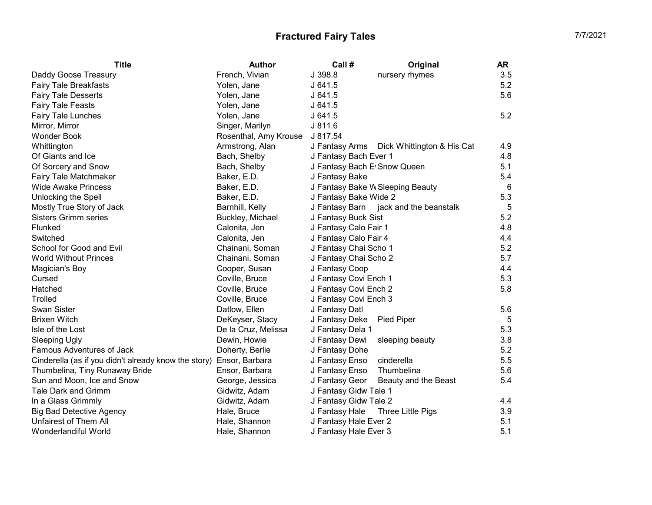| <b>Title</b>                                         | <b>Author</b>         | Call #                       | Original                                  | AR.             |
|------------------------------------------------------|-----------------------|------------------------------|-------------------------------------------|-----------------|
| Daddy Goose Treasury                                 | French, Vivian        | J 398.8                      | nursery rhymes                            | 3.5             |
| <b>Fairy Tale Breakfasts</b>                         | Yolen, Jane           | J641.5                       |                                           | 5.2             |
| <b>Fairy Tale Desserts</b>                           | Yolen, Jane           | J641.5                       |                                           | 5.6             |
| <b>Fairy Tale Feasts</b>                             | Yolen, Jane           | J641.5                       |                                           |                 |
| <b>Fairy Tale Lunches</b>                            | Yolen, Jane           | J641.5                       |                                           | 5.2             |
| Mirror, Mirror                                       | Singer, Marilyn       | J811.6                       |                                           |                 |
| <b>Wonder Book</b>                                   | Rosenthal, Amy Krouse | J 817.54                     |                                           |                 |
| Whittington                                          | Armstrong, Alan       |                              | J Fantasy Arms Dick Whittington & His Cat | 4.9             |
| Of Giants and Ice                                    | Bach, Shelby          | J Fantasy Bach Ever 1        |                                           | 4.8             |
| Of Sorcery and Snow                                  | Bach, Shelby          | J Fantasy Bach E' Snow Queen |                                           | 5.1             |
| Fairy Tale Matchmaker                                | Baker, E.D.           | J Fantasy Bake               |                                           | 5.4             |
| <b>Wide Awake Princess</b>                           | Baker, E.D.           |                              | J Fantasy Bake W Sleeping Beauty          | $6\phantom{1}6$ |
| Unlocking the Spell                                  | Baker, E.D.           | J Fantasy Bake Wide 2        |                                           | 5.3             |
| Mostly True Story of Jack                            | Barnhill, Kelly       |                              | J Fantasy Barn jack and the beanstalk     | 5               |
| <b>Sisters Grimm series</b>                          | Buckley, Michael      | J Fantasy Buck Sist          |                                           | 5.2             |
| Flunked                                              | Calonita, Jen         | J Fantasy Calo Fair 1        |                                           | 4.8             |
| Switched                                             | Calonita, Jen         | J Fantasy Calo Fair 4        |                                           | 4.4             |
| School for Good and Evil                             | Chainani, Soman       | J Fantasy Chai Scho 1        |                                           | 5.2             |
| <b>World Without Princes</b>                         | Chainani, Soman       | J Fantasy Chai Scho 2        |                                           | 5.7             |
| Magician's Boy                                       | Cooper, Susan         | J Fantasy Coop               |                                           | 4.4             |
| Cursed                                               | Coville, Bruce        | J Fantasy Covi Ench 1        |                                           | 5.3             |
| Hatched                                              | Coville, Bruce        | J Fantasy Covi Ench 2        |                                           | 5.8             |
| Trolled                                              | Coville, Bruce        | J Fantasy Covi Ench 3        |                                           |                 |
| <b>Swan Sister</b>                                   | Datlow, Ellen         | J Fantasy Datl               |                                           | 5.6             |
| <b>Brixen Witch</b>                                  | DeKeyser, Stacy       | J Fantasy Deke               | Pied Piper                                | $\sqrt{5}$      |
| Isle of the Lost                                     | De la Cruz, Melissa   | J Fantasy Dela 1             |                                           | 5.3             |
| <b>Sleeping Ugly</b>                                 | Dewin, Howie          | J Fantasy Dewi               | sleeping beauty                           | 3.8             |
| Famous Adventures of Jack                            | Doherty, Berlie       | J Fantasy Dohe               |                                           | 5.2             |
| Cinderella (as if you didn't already know the story) | Ensor, Barbara        | J Fantasy Enso               | cinderella                                | 5.5             |
| Thumbelina, Tiny Runaway Bride                       | Ensor, Barbara        | J Fantasy Enso               | Thumbelina                                | 5.6             |
| Sun and Moon, Ice and Snow                           | George, Jessica       | J Fantasy Geor               | Beauty and the Beast                      | 5.4             |
| Tale Dark and Grimm                                  | Gidwitz, Adam         | J Fantasy Gidw Tale 1        |                                           |                 |
| In a Glass Grimmly                                   | Gidwitz, Adam         | J Fantasy Gidw Tale 2        |                                           | 4.4             |
| <b>Big Bad Detective Agency</b>                      | Hale, Bruce           | J Fantasy Hale               | Three Little Pigs                         | 3.9             |
| <b>Unfairest of Them All</b>                         | Hale, Shannon         | J Fantasy Hale Ever 2        |                                           | 5.1             |
| Wonderlandiful World                                 | Hale, Shannon         | J Fantasy Hale Ever 3        |                                           | 5.1             |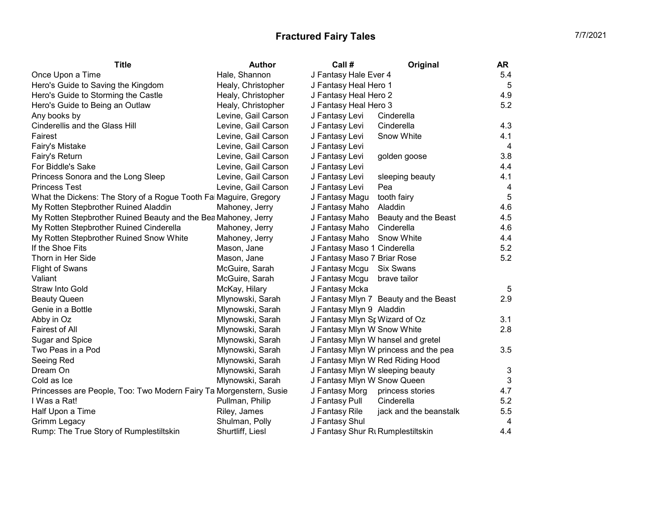| <b>Title</b>                                                       | <b>Author</b>       | Call #                            | Original                              | AR              |
|--------------------------------------------------------------------|---------------------|-----------------------------------|---------------------------------------|-----------------|
| Once Upon a Time                                                   | Hale, Shannon       | J Fantasy Hale Ever 4             |                                       | 5.4             |
| Hero's Guide to Saving the Kingdom                                 | Healy, Christopher  | J Fantasy Heal Hero 1             |                                       | $5\phantom{.0}$ |
| Hero's Guide to Storming the Castle                                | Healy, Christopher  | J Fantasy Heal Hero 2             |                                       | 4.9             |
| Hero's Guide to Being an Outlaw                                    | Healy, Christopher  | J Fantasy Heal Hero 3             |                                       | 5.2             |
| Any books by                                                       | Levine, Gail Carson | J Fantasy Levi                    | Cinderella                            |                 |
| Cinderellis and the Glass Hill                                     | Levine, Gail Carson | J Fantasy Levi                    | Cinderella                            | 4.3             |
| Fairest                                                            | Levine, Gail Carson | J Fantasy Levi                    | Snow White                            | 4.1             |
| Fairy's Mistake                                                    | Levine, Gail Carson | J Fantasy Levi                    |                                       | $\overline{4}$  |
| Fairy's Return                                                     | Levine, Gail Carson | J Fantasy Levi                    | golden goose                          | 3.8             |
| For Biddle's Sake                                                  | Levine, Gail Carson | J Fantasy Levi                    |                                       | 4.4             |
| Princess Sonora and the Long Sleep                                 | Levine, Gail Carson | J Fantasy Levi                    | sleeping beauty                       | 4.1             |
| <b>Princess Test</b>                                               | Levine, Gail Carson | J Fantasy Levi                    | Pea                                   | 4               |
| What the Dickens: The Story of a Rogue Tooth Fai Maguire, Gregory  |                     | J Fantasy Magu                    | tooth fairy                           | 5               |
| My Rotten Stepbrother Ruined Aladdin                               | Mahoney, Jerry      | J Fantasy Maho                    | Aladdin                               | 4.6             |
| My Rotten Stepbrother Ruined Beauty and the Bea Mahoney, Jerry     |                     | J Fantasy Maho                    | Beauty and the Beast                  | 4.5             |
| My Rotten Stepbrother Ruined Cinderella                            | Mahoney, Jerry      | J Fantasy Maho                    | Cinderella                            | 4.6             |
| My Rotten Stepbrother Ruined Snow White                            | Mahoney, Jerry      | J Fantasy Maho                    | Snow White                            | 4.4             |
| If the Shoe Fits                                                   | Mason, Jane         | J Fantasy Maso 1 Cinderella       |                                       | 5.2             |
| Thorn in Her Side                                                  | Mason, Jane         | J Fantasy Maso 7 Briar Rose       |                                       | 5.2             |
| <b>Flight of Swans</b>                                             | McGuire, Sarah      | J Fantasy Mcgu                    | <b>Six Swans</b>                      |                 |
| Valiant                                                            | McGuire, Sarah      | J Fantasy Mcgu                    | brave tailor                          |                 |
| <b>Straw Into Gold</b>                                             | McKay, Hilary       | J Fantasy Mcka                    |                                       | 5               |
| <b>Beauty Queen</b>                                                | Mlynowski, Sarah    |                                   | J Fantasy Mlyn 7 Beauty and the Beast | 2.9             |
| Genie in a Bottle                                                  | Mlynowski, Sarah    | J Fantasy Mlyn 9 Aladdin          |                                       |                 |
| Abby in Oz                                                         | Mlynowski, Sarah    | J Fantasy Mlyn Sr Wizard of Oz    |                                       | 3.1             |
| Fairest of All                                                     | Mlynowski, Sarah    | J Fantasy Mlyn W Snow White       |                                       | 2.8             |
| Sugar and Spice                                                    | Mlynowski, Sarah    |                                   | J Fantasy Mlyn W hansel and gretel    |                 |
| Two Peas in a Pod                                                  | Mlynowski, Sarah    |                                   | J Fantasy Mlyn W princess and the pea | 3.5             |
| Seeing Red                                                         | Mlynowski, Sarah    |                                   | J Fantasy Mlyn W Red Riding Hood      |                 |
| Dream On                                                           | Mlynowski, Sarah    | J Fantasy Mlyn W sleeping beauty  |                                       | 3               |
| Cold as Ice                                                        | Mlynowski, Sarah    | J Fantasy Mlyn W Snow Queen       |                                       | 3               |
| Princesses are People, Too: Two Modern Fairy Ta Morgenstern, Susie |                     | J Fantasy Morg                    | princess stories                      | 4.7             |
| I Was a Rat!                                                       | Pullman, Philip     | J Fantasy Pull                    | Cinderella                            | 5.2             |
| Half Upon a Time                                                   | Riley, James        | J Fantasy Rile                    | jack and the beanstalk                | 5.5             |
| <b>Grimm Legacy</b>                                                | Shulman, Polly      | J Fantasy Shul                    |                                       | 4               |
| Rump: The True Story of Rumplestiltskin                            | Shurtliff, Liesl    | J Fantasy Shur Rt Rumplestiltskin |                                       | 4.4             |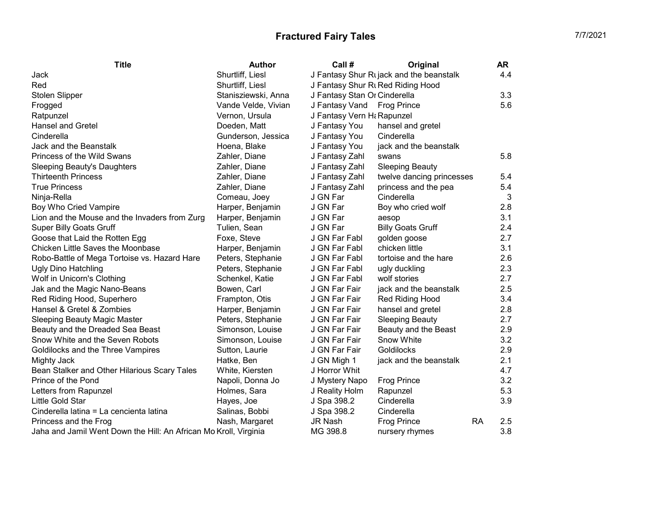| <b>Title</b>                                  | <b>Author</b>       | Call #                       | Original                                | <b>AR</b> |
|-----------------------------------------------|---------------------|------------------------------|-----------------------------------------|-----------|
| Jack                                          | Shurtliff, Liesl    |                              | J Fantasy Shur Rijack and the beanstalk | 4.4       |
| Red                                           | Shurtliff, Liesl    |                              | J Fantasy Shur Rt Red Riding Hood       |           |
| Stolen Slipper                                | Stanisziewski, Anna | J Fantasy Stan Or Cinderella |                                         | 3.3       |
| Frogged                                       | Vande Velde, Vivian | J Fantasy Vand               | <b>Frog Prince</b>                      | 5.6       |
| Ratpunzel                                     | Vernon, Ursula      | J Fantasy Vern H& Rapunzel   |                                         |           |
| <b>Hansel and Gretel</b>                      | Doeden, Matt        | J Fantasy You                | hansel and gretel                       |           |
| Cinderella                                    | Gunderson, Jessica  | J Fantasy You                | Cinderella                              |           |
| Jack and the Beanstalk                        | Hoena, Blake        | J Fantasy You                | jack and the beanstalk                  |           |
| Princess of the Wild Swans                    | Zahler, Diane       | J Fantasy Zahl               | swans                                   | 5.8       |
| Sleeping Beauty's Daughters                   | Zahler, Diane       | J Fantasy Zahl               | <b>Sleeping Beauty</b>                  |           |
| <b>Thirteenth Princess</b>                    | Zahler, Diane       | J Fantasy Zahl               | twelve dancing princesses               | 5.4       |
| <b>True Princess</b>                          | Zahler, Diane       | J Fantasy Zahl               | princess and the pea                    | 5.4       |
| Ninja-Rella                                   | Comeau, Joey        | J GN Far                     | Cinderella                              | 3         |
| Boy Who Cried Vampire                         | Harper, Benjamin    | J GN Far                     | Boy who cried wolf                      | 2.8       |
| Lion and the Mouse and the Invaders from Zurg | Harper, Benjamin    | J GN Far                     | aesop                                   | 3.1       |
| <b>Super Billy Goats Gruff</b>                | Tulien, Sean        | J GN Far                     | <b>Billy Goats Gruff</b>                | 2.4       |
| Goose that Laid the Rotten Egg                | Foxe, Steve         | J GN Far Fabl                | golden goose                            | 2.7       |
| Chicken Little Saves the Moonbase             | Harper, Benjamin    | J GN Far Fabl                | chicken little                          | 3.1       |
| Robo-Battle of Mega Tortoise vs. Hazard Hare  | Peters, Stephanie   | J GN Far Fabl                | tortoise and the hare                   | 2.6       |
| <b>Ugly Dino Hatchling</b>                    | Peters, Stephanie   | J GN Far Fabl                | ugly duckling                           | 2.3       |
| Wolf in Unicorn's Clothing                    | Schenkel, Katie     | J GN Far Fabl                | wolf stories                            | 2.7       |
| Jak and the Magic Nano-Beans                  | Bowen, Carl         | J GN Far Fair                | jack and the beanstalk                  | 2.5       |
| Red Riding Hood, Superhero                    | Frampton, Otis      | J GN Far Fair                | Red Riding Hood                         | 3.4       |
| Hansel & Gretel & Zombies                     | Harper, Benjamin    | J GN Far Fair                | hansel and gretel                       | 2.8       |
| Sleeping Beauty Magic Master                  | Peters, Stephanie   | J GN Far Fair                | <b>Sleeping Beauty</b>                  | 2.7       |
| Beauty and the Dreaded Sea Beast              | Simonson, Louise    | J GN Far Fair                | Beauty and the Beast                    | 2.9       |
| Snow White and the Seven Robots               | Simonson, Louise    | J GN Far Fair                | Snow White                              | 3.2       |
| Goldilocks and the Three Vampires             | Sutton, Laurie      | J GN Far Fair                | Goldilocks                              | 2.9       |
| Mighty Jack                                   | Hatke, Ben          | J GN Migh 1                  | jack and the beanstalk                  | 2.1       |

Bean Stalker and Other Hilarious Scary Tales White, Kiersten J Horror Whit<br>Prince of the Pond S.2 (All the Mapoli, Donna Jo J Mystery Napo Frog Prince 3.2 Prince of the Pond<br>
2.2 Cetters from Rapunzel<br>
3.2 Holmes, Sara J Reality Holm Rapunzel<br>
5.3 J Reality Holm Rapunzel

Little Gold Star Hayes, Joe J Spa 398.2 Cinderella 3.9

Letters from Rapunzel **Exercise Server Contracts** Holmes, Sara **J Reality Holm Rapunzel** 

Cinderella latina = La cencienta latina Salinas, Bobbi J Spa 398.2 Cinderella<br>Princess and the Frog Trince

jack and the beanstalk  $2.1$ <br>4.7

Princess and the Frog **Nash, Margaret** JR Nash Frog Prince RA 2.5<br>1.8 Jaha and Jamil Went Down the Hill: An African Mo Kroll, Virginia MG 398.8 nursery rhymes Jaha and Jamil Went Down the Hill: An African Mo Kroll, Virginia MG 398.8 nursery rhymes